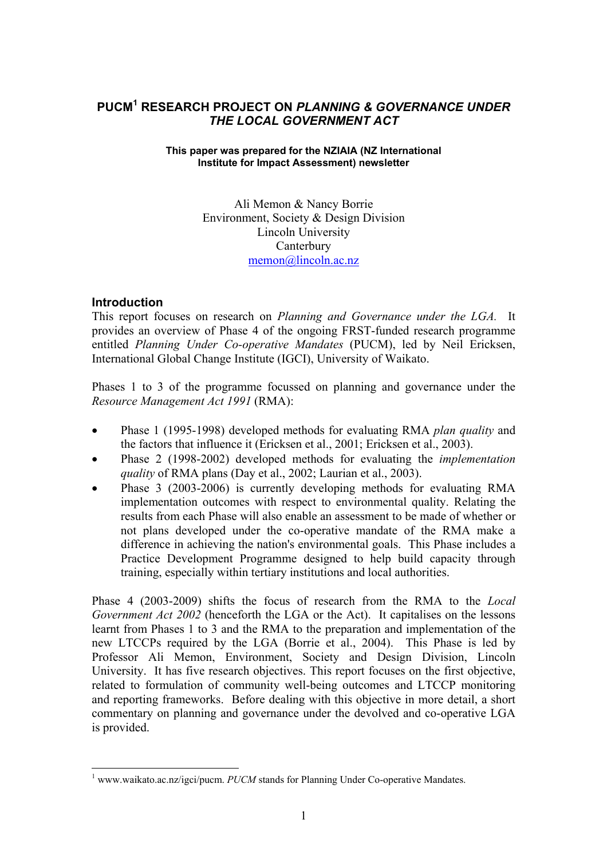# **PUCM<sup>1</sup> RESEARCH PROJECT ON** *PLANNING & GOVERNANCE UNDER THE LOCAL GOVERNMENT ACT*

### **This paper was prepared for the NZIAIA (NZ International Institute for Impact Assessment) newsletter**

Ali Memon & Nancy Borrie Environment, Society & Design Division Lincoln University **Canterbury** memon@lincoln.ac.nz

## **Introduction**

 $\overline{a}$ 

This report focuses on research on *Planning and Governance under the LGA.* It provides an overview of Phase 4 of the ongoing FRST-funded research programme entitled *Planning Under Co-operative Mandates* (PUCM), led by Neil Ericksen, International Global Change Institute (IGCI), University of Waikato.

Phases 1 to 3 of the programme focussed on planning and governance under the *Resource Management Act 1991* (RMA):

- Phase 1 (1995-1998) developed methods for evaluating RMA *plan quality* and the factors that influence it (Ericksen et al., 2001; Ericksen et al., 2003).
- Phase 2 (1998-2002) developed methods for evaluating the *implementation quality* of RMA plans (Day et al., 2002; Laurian et al., 2003).
- Phase 3 (2003-2006) is currently developing methods for evaluating RMA implementation outcomes with respect to environmental quality. Relating the results from each Phase will also enable an assessment to be made of whether or not plans developed under the co-operative mandate of the RMA make a difference in achieving the nation's environmental goals. This Phase includes a Practice Development Programme designed to help build capacity through training, especially within tertiary institutions and local authorities.

Phase 4 (2003-2009) shifts the focus of research from the RMA to the *Local Government Act 2002* (henceforth the LGA or the Act). It capitalises on the lessons learnt from Phases 1 to 3 and the RMA to the preparation and implementation of the new LTCCPs required by the LGA (Borrie et al., 2004). This Phase is led by Professor Ali Memon, Environment, Society and Design Division, Lincoln University. It has five research objectives. This report focuses on the first objective, related to formulation of community well-being outcomes and LTCCP monitoring and reporting frameworks. Before dealing with this objective in more detail, a short commentary on planning and governance under the devolved and co-operative LGA is provided.

<sup>&</sup>lt;sup>1</sup> www.waikato.ac.nz/igci/pucm. *PUCM* stands for Planning Under Co-operative Mandates.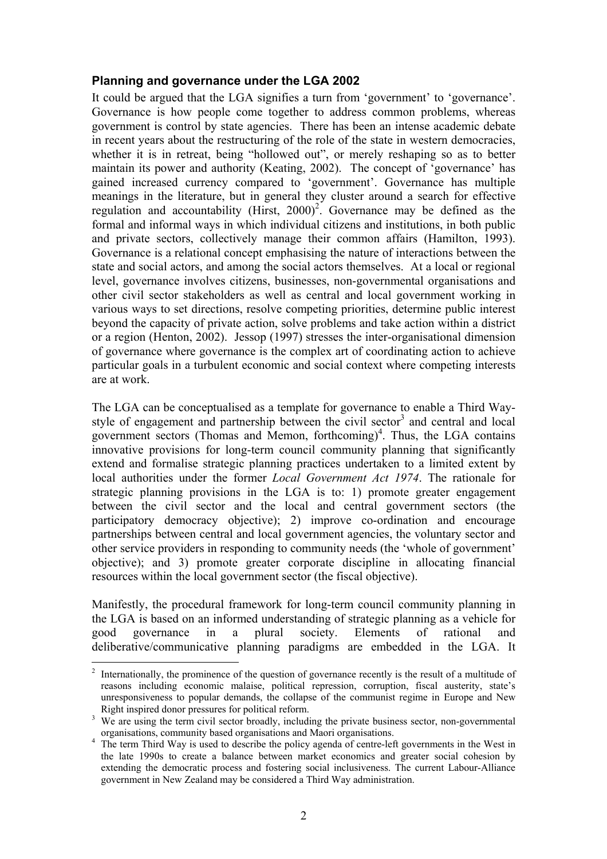## **Planning and governance under the LGA 2002**

It could be argued that the LGA signifies a turn from 'government' to 'governance'. Governance is how people come together to address common problems, whereas government is control by state agencies. There has been an intense academic debate in recent years about the restructuring of the role of the state in western democracies, whether it is in retreat, being "hollowed out", or merely reshaping so as to better maintain its power and authority (Keating, 2002). The concept of 'governance' has gained increased currency compared to 'government'. Governance has multiple meanings in the literature, but in general they cluster around a search for effective regulation and accountability (Hirst,  $2000$ )<sup>2</sup>. Governance may be defined as the formal and informal ways in which individual citizens and institutions, in both public and private sectors, collectively manage their common affairs (Hamilton, 1993). Governance is a relational concept emphasising the nature of interactions between the state and social actors, and among the social actors themselves. At a local or regional level, governance involves citizens, businesses, non-governmental organisations and other civil sector stakeholders as well as central and local government working in various ways to set directions, resolve competing priorities, determine public interest beyond the capacity of private action, solve problems and take action within a district or a region (Henton, 2002). Jessop (1997) stresses the inter-organisational dimension of governance where governance is the complex art of coordinating action to achieve particular goals in a turbulent economic and social context where competing interests are at work.

The LGA can be conceptualised as a template for governance to enable a Third Waystyle of engagement and partnership between the civil sector<sup>3</sup> and central and local government sectors (Thomas and Memon, forthcoming)<sup>4</sup>. Thus, the LGA contains innovative provisions for long-term council community planning that significantly extend and formalise strategic planning practices undertaken to a limited extent by local authorities under the former *Local Government Act 1974*. The rationale for strategic planning provisions in the LGA is to: 1) promote greater engagement between the civil sector and the local and central government sectors (the participatory democracy objective); 2) improve co-ordination and encourage partnerships between central and local government agencies, the voluntary sector and other service providers in responding to community needs (the 'whole of government' objective); and 3) promote greater corporate discipline in allocating financial resources within the local government sector (the fiscal objective).

Manifestly, the procedural framework for long-term council community planning in the LGA is based on an informed understanding of strategic planning as a vehicle for good governance in a plural society. Elements of rational and deliberative/communicative planning paradigms are embedded in the LGA. It

 $\overline{a}$ 

<sup>2</sup> Internationally, the prominence of the question of governance recently is the result of a multitude of reasons including economic malaise, political repression, corruption, fiscal austerity, state's unresponsiveness to popular demands, the collapse of the communist regime in Europe and New Right inspired donor pressures for political reform.

<sup>&</sup>lt;sup>3</sup> We are using the term civil sector broadly, including the private business sector, non-governmental organisations. community based organisations and Maori organisations.

organisations, community based organisations and Maori organisations.<br><sup>4</sup> The term Third Way is used to describe the policy agenda of centre-left governments in the West in the late 1990s to create a balance between market economics and greater social cohesion by extending the democratic process and fostering social inclusiveness. The current Labour-Alliance government in New Zealand may be considered a Third Way administration.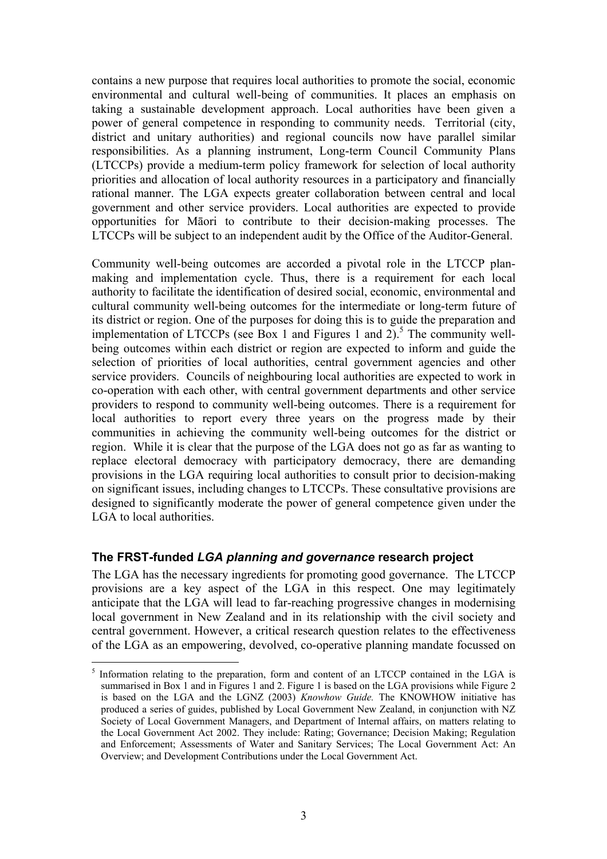contains a new purpose that requires local authorities to promote the social, economic environmental and cultural well-being of communities. It places an emphasis on taking a sustainable development approach. Local authorities have been given a power of general competence in responding to community needs. Territorial (city, district and unitary authorities) and regional councils now have parallel similar responsibilities. As a planning instrument, Long-term Council Community Plans (LTCCPs) provide a medium-term policy framework for selection of local authority priorities and allocation of local authority resources in a participatory and financially rational manner. The LGA expects greater collaboration between central and local government and other service providers. Local authorities are expected to provide opportunities for Māori to contribute to their decision-making processes. The LTCCPs will be subject to an independent audit by the Office of the Auditor-General.

Community well-being outcomes are accorded a pivotal role in the LTCCP planmaking and implementation cycle. Thus, there is a requirement for each local authority to facilitate the identification of desired social, economic, environmental and cultural community well-being outcomes for the intermediate or long-term future of its district or region. One of the purposes for doing this is to guide the preparation and implementation of LTCCPs (see Box 1 and Figures 1 and 2).<sup>5</sup> The community wellbeing outcomes within each district or region are expected to inform and guide the selection of priorities of local authorities, central government agencies and other service providers. Councils of neighbouring local authorities are expected to work in co-operation with each other, with central government departments and other service providers to respond to community well-being outcomes. There is a requirement for local authorities to report every three years on the progress made by their communities in achieving the community well-being outcomes for the district or region. While it is clear that the purpose of the LGA does not go as far as wanting to replace electoral democracy with participatory democracy, there are demanding provisions in the LGA requiring local authorities to consult prior to decision-making on significant issues, including changes to LTCCPs. These consultative provisions are designed to significantly moderate the power of general competence given under the LGA to local authorities.

# **The FRST-funded** *LGA planning and governance* **research project**

 $\overline{a}$ 

The LGA has the necessary ingredients for promoting good governance. The LTCCP provisions are a key aspect of the LGA in this respect. One may legitimately anticipate that the LGA will lead to far-reaching progressive changes in modernising local government in New Zealand and in its relationship with the civil society and central government. However, a critical research question relates to the effectiveness of the LGA as an empowering, devolved, co-operative planning mandate focussed on

<sup>&</sup>lt;sup>5</sup> Information relating to the preparation, form and content of an LTCCP contained in the LGA is summarised in Box 1 and in Figures 1 and 2. Figure 1 is based on the LGA provisions while Figure 2 is based on the LGA and the LGNZ (2003) *Knowhow Guide.* The KNOWHOW initiative has produced a series of guides, published by Local Government New Zealand, in conjunction with NZ Society of Local Government Managers, and Department of Internal affairs, on matters relating to the Local Government Act 2002. They include: Rating; Governance; Decision Making; Regulation and Enforcement; Assessments of Water and Sanitary Services; The Local Government Act: An Overview; and Development Contributions under the Local Government Act.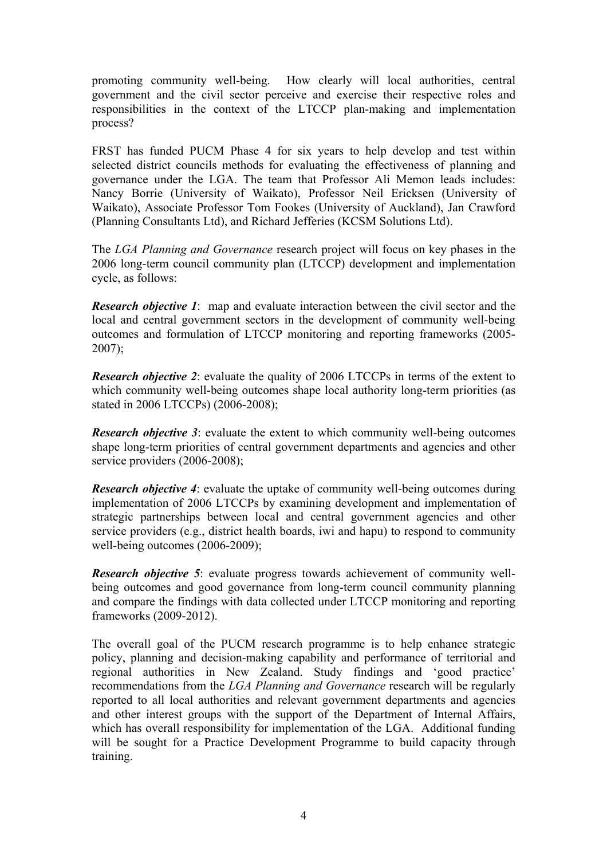promoting community well-being. How clearly will local authorities, central government and the civil sector perceive and exercise their respective roles and responsibilities in the context of the LTCCP plan-making and implementation process?

FRST has funded PUCM Phase 4 for six years to help develop and test within selected district councils methods for evaluating the effectiveness of planning and governance under the LGA. The team that Professor Ali Memon leads includes: Nancy Borrie (University of Waikato), Professor Neil Ericksen (University of Waikato), Associate Professor Tom Fookes (University of Auckland), Jan Crawford (Planning Consultants Ltd), and Richard Jefferies (KCSM Solutions Ltd).

The *LGA Planning and Governance* research project will focus on key phases in the 2006 long-term council community plan (LTCCP) development and implementation cycle, as follows:

*Research objective 1*: map and evaluate interaction between the civil sector and the local and central government sectors in the development of community well-being outcomes and formulation of LTCCP monitoring and reporting frameworks (2005-  $2007$ ;

*Research objective 2*: evaluate the quality of 2006 LTCCPs in terms of the extent to which community well-being outcomes shape local authority long-term priorities (as stated in 2006 LTCCPs) (2006-2008);

*Research objective 3*: evaluate the extent to which community well-being outcomes shape long-term priorities of central government departments and agencies and other service providers (2006-2008);

*Research objective 4*: evaluate the uptake of community well-being outcomes during implementation of 2006 LTCCPs by examining development and implementation of strategic partnerships between local and central government agencies and other service providers (e.g., district health boards, iwi and hapu) to respond to community well-being outcomes (2006-2009);

*Research objective 5*: evaluate progress towards achievement of community wellbeing outcomes and good governance from long-term council community planning and compare the findings with data collected under LTCCP monitoring and reporting frameworks (2009-2012).

The overall goal of the PUCM research programme is to help enhance strategic policy, planning and decision-making capability and performance of territorial and regional authorities in New Zealand. Study findings and 'good practice' recommendations from the *LGA Planning and Governance* research will be regularly reported to all local authorities and relevant government departments and agencies and other interest groups with the support of the Department of Internal Affairs, which has overall responsibility for implementation of the LGA. Additional funding will be sought for a Practice Development Programme to build capacity through training.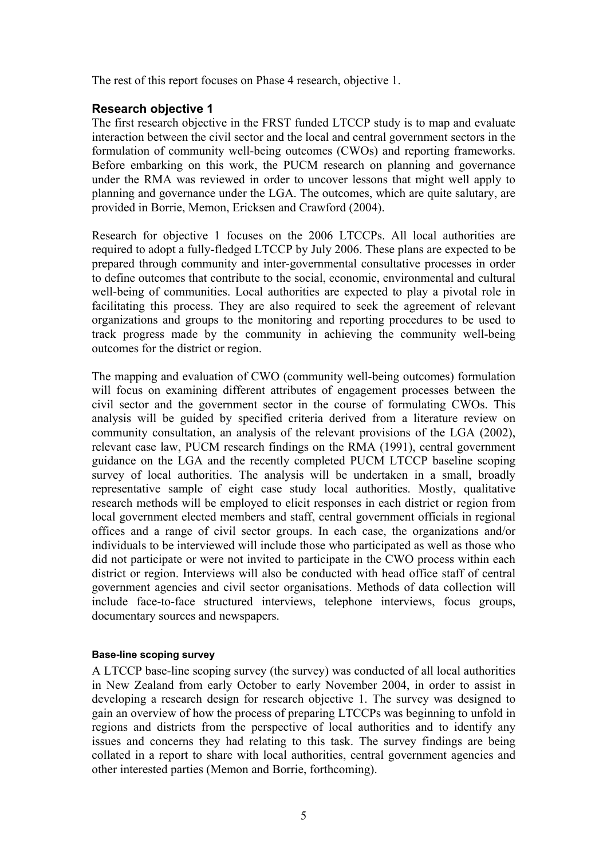The rest of this report focuses on Phase 4 research, objective 1.

# **Research objective 1**

The first research objective in the FRST funded LTCCP study is to map and evaluate interaction between the civil sector and the local and central government sectors in the formulation of community well-being outcomes (CWOs) and reporting frameworks. Before embarking on this work, the PUCM research on planning and governance under the RMA was reviewed in order to uncover lessons that might well apply to planning and governance under the LGA. The outcomes, which are quite salutary, are provided in Borrie, Memon, Ericksen and Crawford (2004).

Research for objective 1 focuses on the 2006 LTCCPs. All local authorities are required to adopt a fully-fledged LTCCP by July 2006. These plans are expected to be prepared through community and inter-governmental consultative processes in order to define outcomes that contribute to the social, economic, environmental and cultural well-being of communities. Local authorities are expected to play a pivotal role in facilitating this process. They are also required to seek the agreement of relevant organizations and groups to the monitoring and reporting procedures to be used to track progress made by the community in achieving the community well-being outcomes for the district or region.

The mapping and evaluation of CWO (community well-being outcomes) formulation will focus on examining different attributes of engagement processes between the civil sector and the government sector in the course of formulating CWOs. This analysis will be guided by specified criteria derived from a literature review on community consultation, an analysis of the relevant provisions of the LGA (2002), relevant case law, PUCM research findings on the RMA (1991), central government guidance on the LGA and the recently completed PUCM LTCCP baseline scoping survey of local authorities. The analysis will be undertaken in a small, broadly representative sample of eight case study local authorities. Mostly, qualitative research methods will be employed to elicit responses in each district or region from local government elected members and staff, central government officials in regional offices and a range of civil sector groups. In each case, the organizations and/or individuals to be interviewed will include those who participated as well as those who did not participate or were not invited to participate in the CWO process within each district or region. Interviews will also be conducted with head office staff of central government agencies and civil sector organisations. Methods of data collection will include face-to-face structured interviews, telephone interviews, focus groups, documentary sources and newspapers.

### **Base-line scoping survey**

A LTCCP base-line scoping survey (the survey) was conducted of all local authorities in New Zealand from early October to early November 2004, in order to assist in developing a research design for research objective 1. The survey was designed to gain an overview of how the process of preparing LTCCPs was beginning to unfold in regions and districts from the perspective of local authorities and to identify any issues and concerns they had relating to this task. The survey findings are being collated in a report to share with local authorities, central government agencies and other interested parties (Memon and Borrie, forthcoming).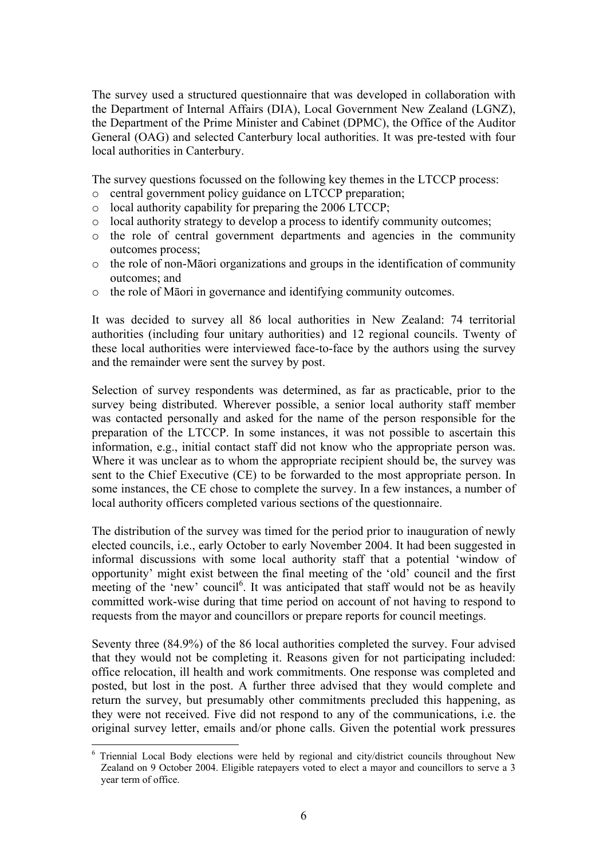The survey used a structured questionnaire that was developed in collaboration with the Department of Internal Affairs (DIA), Local Government New Zealand (LGNZ), the Department of the Prime Minister and Cabinet (DPMC), the Office of the Auditor General (OAG) and selected Canterbury local authorities. It was pre-tested with four local authorities in Canterbury.

The survey questions focussed on the following key themes in the LTCCP process:

- o central government policy guidance on LTCCP preparation;
- o local authority capability for preparing the 2006 LTCCP;
- o local authority strategy to develop a process to identify community outcomes;
- o the role of central government departments and agencies in the community outcomes process;
- o the role of non-Māori organizations and groups in the identification of community outcomes; and
- o the role of Māori in governance and identifying community outcomes.

It was decided to survey all 86 local authorities in New Zealand: 74 territorial authorities (including four unitary authorities) and 12 regional councils. Twenty of these local authorities were interviewed face-to-face by the authors using the survey and the remainder were sent the survey by post.

Selection of survey respondents was determined, as far as practicable, prior to the survey being distributed. Wherever possible, a senior local authority staff member was contacted personally and asked for the name of the person responsible for the preparation of the LTCCP. In some instances, it was not possible to ascertain this information, e.g., initial contact staff did not know who the appropriate person was. Where it was unclear as to whom the appropriate recipient should be, the survey was sent to the Chief Executive (CE) to be forwarded to the most appropriate person. In some instances, the CE chose to complete the survey. In a few instances, a number of local authority officers completed various sections of the questionnaire.

The distribution of the survey was timed for the period prior to inauguration of newly elected councils, i.e., early October to early November 2004. It had been suggested in informal discussions with some local authority staff that a potential 'window of opportunity' might exist between the final meeting of the 'old' council and the first meeting of the 'new' council<sup>6</sup>. It was anticipated that staff would not be as heavily committed work-wise during that time period on account of not having to respond to requests from the mayor and councillors or prepare reports for council meetings.

Seventy three (84.9%) of the 86 local authorities completed the survey. Four advised that they would not be completing it. Reasons given for not participating included: office relocation, ill health and work commitments. One response was completed and posted, but lost in the post. A further three advised that they would complete and return the survey, but presumably other commitments precluded this happening, as they were not received. Five did not respond to any of the communications, i.e. the original survey letter, emails and/or phone calls. Given the potential work pressures

 $\overline{a}$ <sup>6</sup> Triennial Local Body elections were held by regional and city/district councils throughout New Zealand on 9 October 2004. Eligible ratepayers voted to elect a mayor and councillors to serve a 3 year term of office.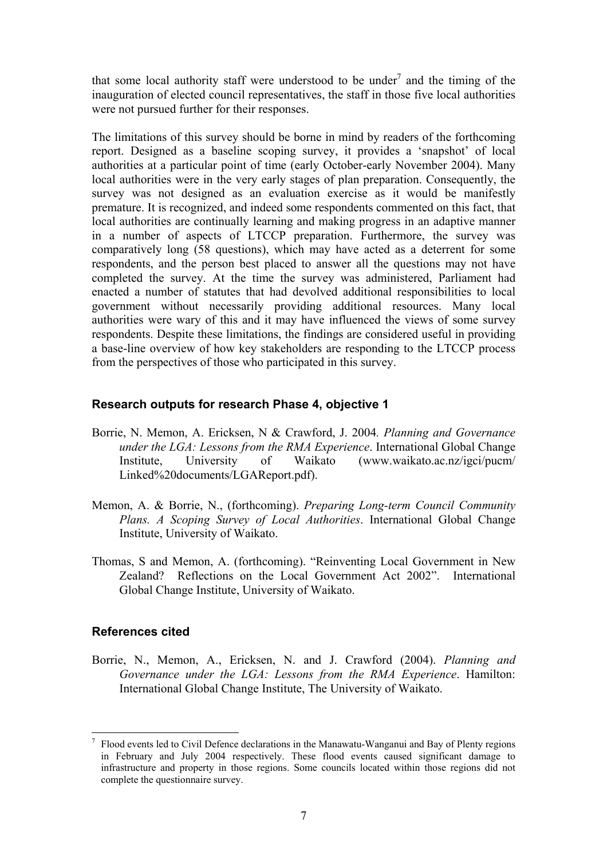that some local authority staff were understood to be under<sup>7</sup> and the timing of the inauguration of elected council representatives, the staff in those five local authorities were not pursued further for their responses.

The limitations of this survey should be borne in mind by readers of the forthcoming report. Designed as a baseline scoping survey, it provides a 'snapshot' of local authorities at a particular point of time (early October-early November 2004). Many local authorities were in the very early stages of plan preparation. Consequently, the survey was not designed as an evaluation exercise as it would be manifestly premature. It is recognized, and indeed some respondents commented on this fact, that local authorities are continually learning and making progress in an adaptive manner in a number of aspects of LTCCP preparation. Furthermore, the survey was comparatively long (58 questions), which may have acted as a deterrent for some respondents, and the person best placed to answer all the questions may not have completed the survey. At the time the survey was administered, Parliament had enacted a number of statutes that had devolved additional responsibilities to local government without necessarily providing additional resources. Many local authorities were wary of this and it may have influenced the views of some survey respondents. Despite these limitations, the findings are considered useful in providing a base-line overview of how key stakeholders are responding to the LTCCP process from the perspectives of those who participated in this survey.

## **Research outputs for research Phase 4, objective 1**

- Borrie, N. Memon, A. Ericksen, N & Crawford, J. 2004*. Planning and Governance under the LGA: Lessons from the RMA Experience*. International Global Change Institute, University of Waikato (www.waikato.ac.nz/igci/pucm/ Linked%20documents/LGAReport.pdf).
- Memon, A. & Borrie, N., (forthcoming). *Preparing Long-term Council Community Plans. A Scoping Survey of Local Authorities*. International Global Change Institute, University of Waikato.
- Thomas, S and Memon, A. (forthcoming). "Reinventing Local Government in New Zealand? Reflections on the Local Government Act 2002". International Global Change Institute, University of Waikato.

# **References cited**

 $\overline{a}$ 

Borrie, N., Memon, A., Ericksen, N. and J. Crawford (2004). *Planning and Governance under the LGA: Lessons from the RMA Experience*. Hamilton: International Global Change Institute, The University of Waikato.

<sup>7</sup> Flood events led to Civil Defence declarations in the Manawatu-Wanganui and Bay of Plenty regions in February and July 2004 respectively. These flood events caused significant damage to infrastructure and property in those regions. Some councils located within those regions did not complete the questionnaire survey.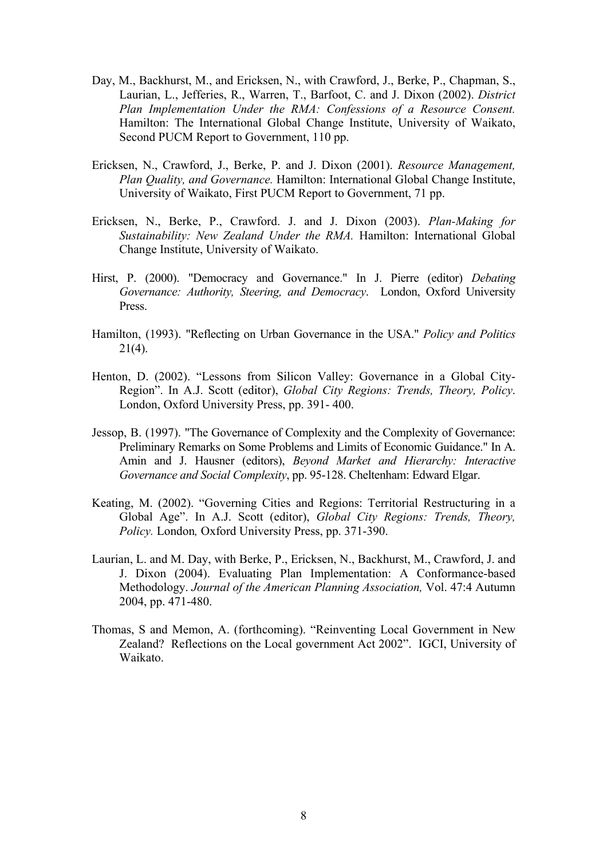- Day, M., Backhurst, M., and Ericksen, N., with Crawford, J., Berke, P., Chapman, S., Laurian, L., Jefferies, R., Warren, T., Barfoot, C. and J. Dixon (2002). *District Plan Implementation Under the RMA: Confessions of a Resource Consent.*  Hamilton: The International Global Change Institute, University of Waikato, Second PUCM Report to Government, 110 pp.
- Ericksen, N., Crawford, J., Berke, P. and J. Dixon (2001). *Resource Management, Plan Quality, and Governance.* Hamilton: International Global Change Institute, University of Waikato, First PUCM Report to Government, 71 pp.
- Ericksen, N., Berke, P., Crawford. J. and J. Dixon (2003). *Plan-Making for Sustainability: New Zealand Under the RMA.* Hamilton: International Global Change Institute, University of Waikato.
- Hirst, P. (2000). "Democracy and Governance." In J. Pierre (editor) *Debating Governance: Authority, Steering, and Democracy*. London, Oxford University Press.
- Hamilton, (1993). "Reflecting on Urban Governance in the USA." *Policy and Politics*  $21(4)$ .
- Henton, D. (2002). "Lessons from Silicon Valley: Governance in a Global City-Region". In A.J. Scott (editor), *Global City Regions: Trends, Theory, Policy*. London, Oxford University Press, pp. 391- 400.
- Jessop, B. (1997). "The Governance of Complexity and the Complexity of Governance: Preliminary Remarks on Some Problems and Limits of Economic Guidance." In A. Amin and J. Hausner (editors), *Beyond Market and Hierarchy: Interactive Governance and Social Complexity*, pp. 95-128. Cheltenham: Edward Elgar.
- Keating, M. (2002). "Governing Cities and Regions: Territorial Restructuring in a Global Age". In A.J. Scott (editor), *Global City Regions: Trends, Theory, Policy.* London*,* Oxford University Press, pp. 371-390.
- Laurian, L. and M. Day, with Berke, P., Ericksen, N., Backhurst, M., Crawford, J. and J. Dixon (2004). Evaluating Plan Implementation: A Conformance-based Methodology. *Journal of the American Planning Association,* Vol. 47:4 Autumn 2004, pp. 471-480.
- Thomas, S and Memon, A. (forthcoming). "Reinventing Local Government in New Zealand? Reflections on the Local government Act 2002". IGCI, University of Waikato.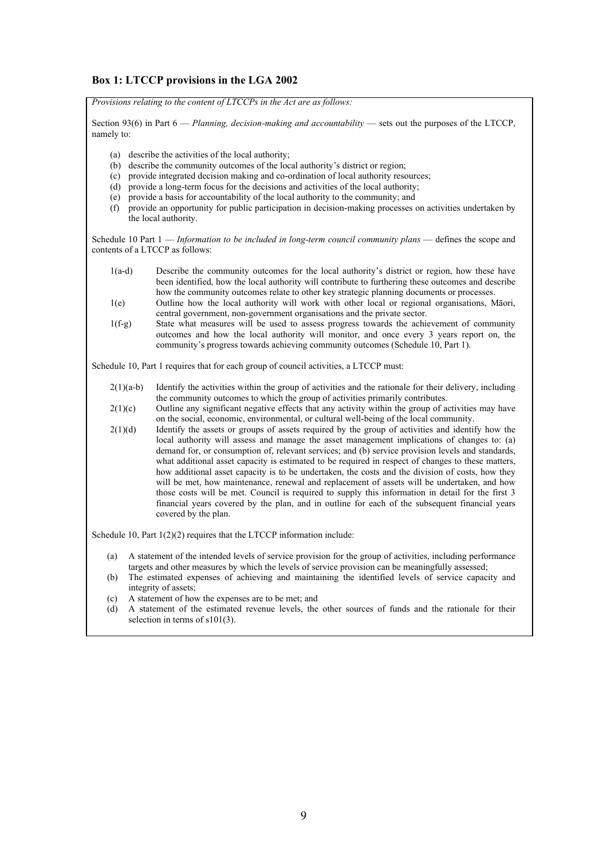### **Box 1: LTCCP provisions in the LGA 2002**

*Provisions relating to the content of LTCCPs in the Act are as follows:* 

Section 93(6) in Part 6 — *Planning, decision-making and accountability* — sets out the purposes of the LTCCP, namely to:

- (a) describe the activities of the local authority;
- (b) describe the community outcomes of the local authority's district or region;
- (c) provide integrated decision making and co-ordination of local authority resources;
- $(d)$  provide a long-term focus for the decisions and activities of the local authority;
- (e) provide a basis for accountability of the local authority to the community; and
- (f) provide an opportunity for public participation in decision-making processes on activities undertaken by the local authority.

Schedule 10 Part 1 — *Information to be included in long-term council community plans* — defines the scope and contents of a LTCCP as follows:

- 1(a-d) Describe the community outcomes for the local authority's district or region, how these have been identified, how the local authority will contribute to furthering these outcomes and describe how the community outcomes relate to other key strategic planning documents or processes.
- 1(e) Outline how the local authority will work with other local or regional organisations, Māori, central government, non-government organisations and the private sector.
- 1(f-g) State what measures will be used to assess progress towards the achievement of community outcomes and how the local authority will monitor, and once every 3 years report on, the community's progress towards achieving community outcomes (Schedule 10, Part 1).

Schedule 10, Part 1 requires that for each group of council activities, a LTCCP must:

- $2(1)(a-b)$  Identify the activities within the group of activities and the rationale for their delivery, including the community outcomes to which the group of activities primarily contributes.
- $2(1)(c)$  Outline any significant negative effects that any activity within the group of activities may have on the social, economic, environmental, or cultural well-being of the local community.
- $2(1)(d)$  Identify the assets or groups of assets required by the group of activities and identify how the local authority will assess and manage the asset management implications of changes to: (a) demand for, or consumption of, relevant services; and (b) service provision levels and standards, what additional asset capacity is estimated to be required in respect of changes to these matters, how additional asset capacity is to be undertaken, the costs and the division of costs, how they will be met, how maintenance, renewal and replacement of assets will be undertaken, and how those costs will be met. Council is required to supply this information in detail for the first 3 financial years covered by the plan, and in outline for each of the subsequent financial years covered by the plan.

Schedule 10, Part  $1(2)(2)$  requires that the LTCCP information include:

- (a) A statement of the intended levels of service provision for the group of activities, including performance targets and other measures by which the levels of service provision can be meaningfully assessed;
- (b) The estimated expenses of achieving and maintaining the identified levels of service capacity and integrity of assets;
- (c) A statement of how the expenses are to be met; and
- (d) A statement of the estimated revenue levels, the other sources of funds and the rationale for their selection in terms of s101(3).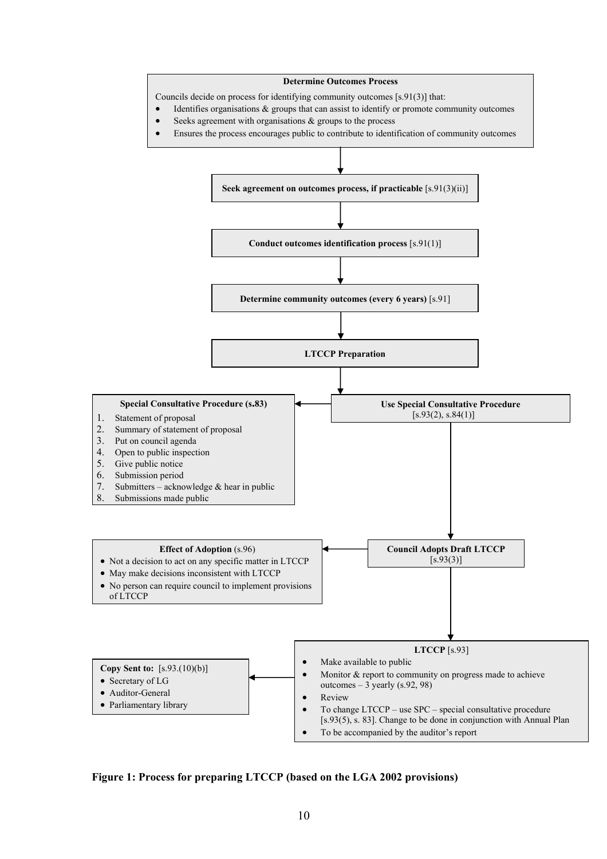

**Figure 1: Process for preparing LTCCP (based on the LGA 2002 provisions)**